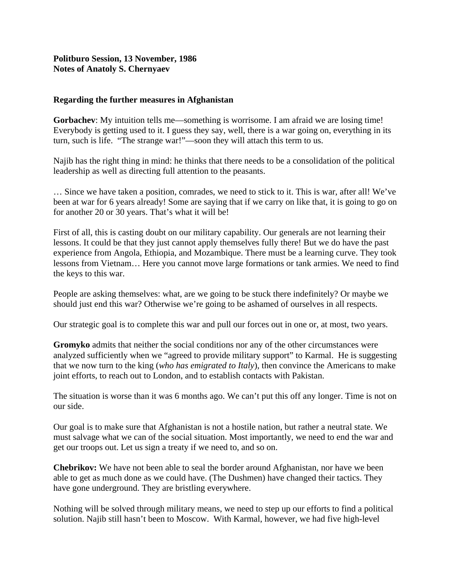## **Politburo Session, 13 November, 1986 Notes of Anatoly S. Chernyaev**

## **Regarding the further measures in Afghanistan**

**Gorbachev**: My intuition tells me—something is worrisome. I am afraid we are losing time! Everybody is getting used to it. I guess they say, well, there is a war going on, everything in its turn, such is life. "The strange war!"—soon they will attach this term to us.

Najib has the right thing in mind: he thinks that there needs to be a consolidation of the political leadership as well as directing full attention to the peasants.

… Since we have taken a position, comrades, we need to stick to it. This is war, after all! We've been at war for 6 years already! Some are saying that if we carry on like that, it is going to go on for another 20 or 30 years. That's what it will be!

First of all, this is casting doubt on our military capability. Our generals are not learning their lessons. It could be that they just cannot apply themselves fully there! But we do have the past experience from Angola, Ethiopia, and Mozambique. There must be a learning curve. They took lessons from Vietnam… Here you cannot move large formations or tank armies. We need to find the keys to this war.

People are asking themselves: what, are we going to be stuck there indefinitely? Or maybe we should just end this war? Otherwise we're going to be ashamed of ourselves in all respects.

Our strategic goal is to complete this war and pull our forces out in one or, at most, two years.

**Gromyko** admits that neither the social conditions nor any of the other circumstances were analyzed sufficiently when we "agreed to provide military support" to Karmal. He is suggesting that we now turn to the king (*who has emigrated to Italy*), then convince the Americans to make joint efforts, to reach out to London, and to establish contacts with Pakistan.

The situation is worse than it was 6 months ago. We can't put this off any longer. Time is not on our side.

Our goal is to make sure that Afghanistan is not a hostile nation, but rather a neutral state. We must salvage what we can of the social situation. Most importantly, we need to end the war and get our troops out. Let us sign a treaty if we need to, and so on.

**Chebrikov:** We have not been able to seal the border around Afghanistan, nor have we been able to get as much done as we could have. (The Dushmen) have changed their tactics. They have gone underground. They are bristling everywhere.

Nothing will be solved through military means, we need to step up our efforts to find a political solution. Najib still hasn't been to Moscow. With Karmal, however, we had five high-level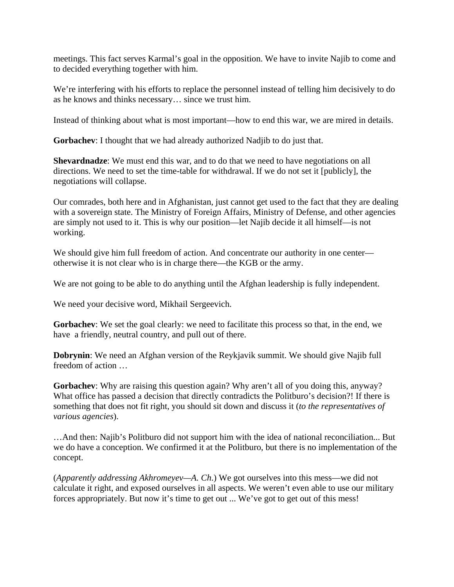meetings. This fact serves Karmal's goal in the opposition. We have to invite Najib to come and to decided everything together with him.

We're interfering with his efforts to replace the personnel instead of telling him decisively to do as he knows and thinks necessary… since we trust him.

Instead of thinking about what is most important—how to end this war, we are mired in details.

**Gorbachev**: I thought that we had already authorized Nadjib to do just that.

**Shevardnadze**: We must end this war, and to do that we need to have negotiations on all directions. We need to set the time-table for withdrawal. If we do not set it [publicly], the negotiations will collapse.

Our comrades, both here and in Afghanistan, just cannot get used to the fact that they are dealing with a sovereign state. The Ministry of Foreign Affairs, Ministry of Defense, and other agencies are simply not used to it. This is why our position—let Najib decide it all himself—is not working.

We should give him full freedom of action. And concentrate our authority in one center otherwise it is not clear who is in charge there—the KGB or the army.

We are not going to be able to do anything until the Afghan leadership is fully independent.

We need your decisive word, Mikhail Sergeevich.

**Gorbachev**: We set the goal clearly: we need to facilitate this process so that, in the end, we have a friendly, neutral country, and pull out of there.

**Dobrynin**: We need an Afghan version of the Reykjavik summit. We should give Najib full freedom of action …

**Gorbachev**: Why are raising this question again? Why aren't all of you doing this, anyway? What office has passed a decision that directly contradicts the Politburo's decision?! If there is something that does not fit right, you should sit down and discuss it (*to the representatives of various agencies*).

…And then: Najib's Politburo did not support him with the idea of national reconciliation... But we do have a conception. We confirmed it at the Politburo, but there is no implementation of the concept.

(*Apparently addressing Akhromeyev—A. Ch*.) We got ourselves into this mess—we did not calculate it right, and exposed ourselves in all aspects. We weren't even able to use our military forces appropriately. But now it's time to get out ... We've got to get out of this mess!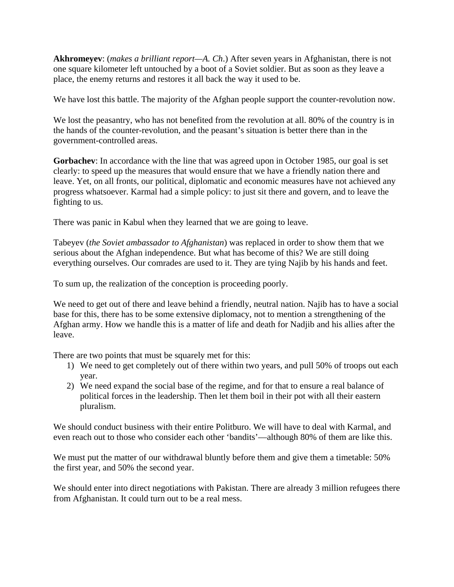**Akhromeyev**: (*makes a brilliant report—A. Ch*.) After seven years in Afghanistan, there is not one square kilometer left untouched by a boot of a Soviet soldier. But as soon as they leave a place, the enemy returns and restores it all back the way it used to be.

We have lost this battle. The majority of the Afghan people support the counter-revolution now.

We lost the peasantry, who has not benefited from the revolution at all. 80% of the country is in the hands of the counter-revolution, and the peasant's situation is better there than in the government-controlled areas.

**Gorbachev**: In accordance with the line that was agreed upon in October 1985, our goal is set clearly: to speed up the measures that would ensure that we have a friendly nation there and leave. Yet, on all fronts, our political, diplomatic and economic measures have not achieved any progress whatsoever. Karmal had a simple policy: to just sit there and govern, and to leave the fighting to us.

There was panic in Kabul when they learned that we are going to leave.

Tabeyev (*the Soviet ambassador to Afghanistan*) was replaced in order to show them that we serious about the Afghan independence. But what has become of this? We are still doing everything ourselves. Our comrades are used to it. They are tying Najib by his hands and feet.

To sum up, the realization of the conception is proceeding poorly.

We need to get out of there and leave behind a friendly, neutral nation. Najib has to have a social base for this, there has to be some extensive diplomacy, not to mention a strengthening of the Afghan army. How we handle this is a matter of life and death for Nadjib and his allies after the leave.

There are two points that must be squarely met for this:

- 1) We need to get completely out of there within two years, and pull 50% of troops out each year.
- 2) We need expand the social base of the regime, and for that to ensure a real balance of political forces in the leadership. Then let them boil in their pot with all their eastern pluralism.

We should conduct business with their entire Politburo. We will have to deal with Karmal, and even reach out to those who consider each other 'bandits'—although 80% of them are like this.

We must put the matter of our withdrawal bluntly before them and give them a timetable: 50% the first year, and 50% the second year.

We should enter into direct negotiations with Pakistan. There are already 3 million refugees there from Afghanistan. It could turn out to be a real mess.